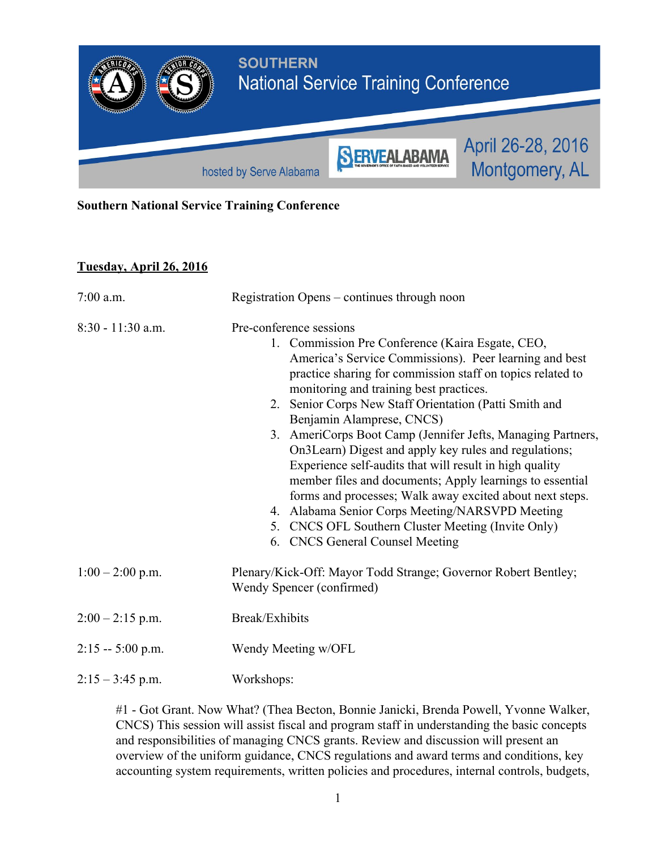

#### **Southern National Service Training Conference**

### **Tuesday, April 26, 2016**

| $7:00$ a.m.         | Registration Opens - continues through noon                                                                                                                                                                                                                                                                                                                                                                                                                                                                                                                                                                                                                                                                                                                                                  |
|---------------------|----------------------------------------------------------------------------------------------------------------------------------------------------------------------------------------------------------------------------------------------------------------------------------------------------------------------------------------------------------------------------------------------------------------------------------------------------------------------------------------------------------------------------------------------------------------------------------------------------------------------------------------------------------------------------------------------------------------------------------------------------------------------------------------------|
| $8:30 - 11:30$ a.m. | Pre-conference sessions<br>1. Commission Pre Conference (Kaira Esgate, CEO,<br>America's Service Commissions). Peer learning and best<br>practice sharing for commission staff on topics related to<br>monitoring and training best practices.<br>2. Senior Corps New Staff Orientation (Patti Smith and<br>Benjamin Alamprese, CNCS)<br>3. AmeriCorps Boot Camp (Jennifer Jefts, Managing Partners,<br>On3Learn) Digest and apply key rules and regulations;<br>Experience self-audits that will result in high quality<br>member files and documents; Apply learnings to essential<br>forms and processes; Walk away excited about next steps.<br>4. Alabama Senior Corps Meeting/NARSVPD Meeting<br>5. CNCS OFL Southern Cluster Meeting (Invite Only)<br>6. CNCS General Counsel Meeting |
| $1:00 - 2:00$ p.m.  | Plenary/Kick-Off: Mayor Todd Strange; Governor Robert Bentley;<br>Wendy Spencer (confirmed)                                                                                                                                                                                                                                                                                                                                                                                                                                                                                                                                                                                                                                                                                                  |
| $2:00 - 2:15$ p.m.  | Break/Exhibits                                                                                                                                                                                                                                                                                                                                                                                                                                                                                                                                                                                                                                                                                                                                                                               |
| $2:15 - 5:00$ p.m.  | Wendy Meeting w/OFL                                                                                                                                                                                                                                                                                                                                                                                                                                                                                                                                                                                                                                                                                                                                                                          |
| $2:15 - 3:45$ p.m.  | Workshops:                                                                                                                                                                                                                                                                                                                                                                                                                                                                                                                                                                                                                                                                                                                                                                                   |

#1 Got Grant. Now What? (Thea Becton, Bonnie Janicki, Brenda Powell, Yvonne Walker, CNCS) This session will assist fiscal and program staff in understanding the basic concepts and responsibilities of managing CNCS grants. Review and discussion will present an overview of the uniform guidance, CNCS regulations and award terms and conditions, key accounting system requirements, written policies and procedures, internal controls, budgets,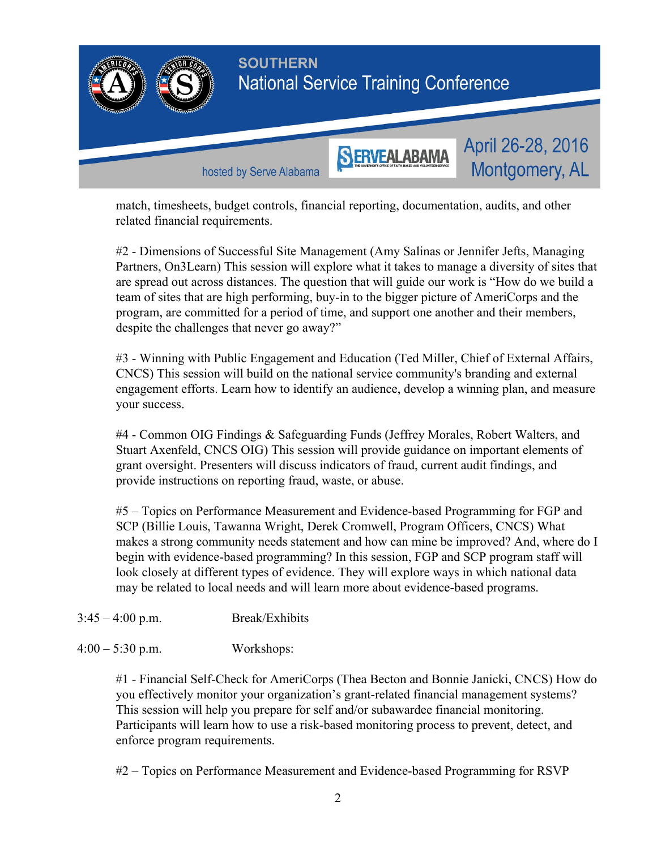

match, timesheets, budget controls, financial reporting, documentation, audits, and other related financial requirements.

#2 Dimensions of Successful Site Management (Amy Salinas or Jennifer Jefts, Managing Partners, On3Learn) This session will explore what it takes to manage a diversity of sites that are spread out across distances. The question that will guide our work is "How do we build a team of sites that are high performing, buy-in to the bigger picture of AmeriCorps and the program, are committed for a period of time, and support one another and their members, despite the challenges that never go away?"

#3 Winning with Public Engagement and Education (Ted Miller, Chief of External Affairs, CNCS) This session will build on the national service community's branding and external engagement efforts. Learn how to identify an audience, develop a winning plan, and measure your success.

#4 Common OIG Findings & Safeguarding Funds (Jeffrey Morales, Robert Walters, and Stuart Axenfeld, CNCS OIG) This session will provide guidance on important elements of grant oversight. Presenters will discuss indicators of fraud, current audit findings, and provide instructions on reporting fraud, waste, or abuse.

#5 – Topics on Performance Measurement and Evidencebased Programming for FGP and SCP (Billie Louis, Tawanna Wright, Derek Cromwell, Program Officers, CNCS) What makes a strong community needs statement and how can mine be improved? And, where do I begin with evidence-based programming? In this session, FGP and SCP program staff will look closely at different types of evidence. They will explore ways in which national data may be related to local needs and will learn more about evidence-based programs.

- $3:45 4:00 \text{ p.m.}$  Break/Exhibits
- 4:00 5:30 p.m. Workshops:

#1 - Financial Self-Check for AmeriCorps (Thea Becton and Bonnie Janicki, CNCS) How do you effectively monitor your organization's grant-related financial management systems? This session will help you prepare for self and/or subawardee financial monitoring. Participants will learn how to use a risk-based monitoring process to prevent, detect, and enforce program requirements.

#2 – Topics on Performance Measurement and Evidence-based Programming for RSVP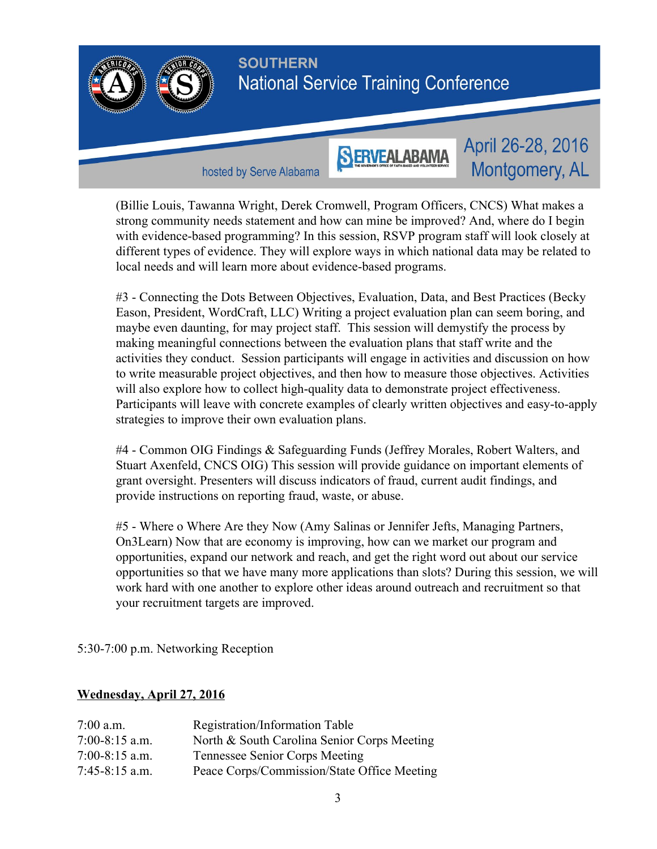

(Billie Louis, Tawanna Wright, Derek Cromwell, Program Officers, CNCS) What makes a strong community needs statement and how can mine be improved? And, where do I begin with evidence-based programming? In this session, RSVP program staff will look closely at different types of evidence. They will explore ways in which national data may be related to local needs and will learn more about evidence-based programs.

#3 Connecting the Dots Between Objectives, Evaluation, Data, and Best Practices (Becky Eason, President, WordCraft, LLC) Writing a project evaluation plan can seem boring, and maybe even daunting, for may project staff. This session will demystify the process by making meaningful connections between the evaluation plans that staff write and the activities they conduct. Session participants will engage in activities and discussion on how to write measurable project objectives, and then how to measure those objectives. Activities will also explore how to collect high-quality data to demonstrate project effectiveness. Participants will leave with concrete examples of clearly written objectives and easy-to-apply strategies to improve their own evaluation plans.

#4 Common OIG Findings & Safeguarding Funds (Jeffrey Morales, Robert Walters, and Stuart Axenfeld, CNCS OIG) This session will provide guidance on important elements of grant oversight. Presenters will discuss indicators of fraud, current audit findings, and provide instructions on reporting fraud, waste, or abuse.

#5 Where o Where Are they Now (Amy Salinas or Jennifer Jefts, Managing Partners, On3Learn) Now that are economy is improving, how can we market our program and opportunities, expand our network and reach, and get the right word out about our service opportunities so that we have many more applications than slots? During this session, we will work hard with one another to explore other ideas around outreach and recruitment so that your recruitment targets are improved.

5:30-7:00 p.m. Networking Reception

#### **Wednesday, April 27, 2016**

| $7:00$ a.m.      | Registration/Information Table              |
|------------------|---------------------------------------------|
| $7:00-8:15$ a.m. | North & South Carolina Senior Corps Meeting |
| $7:00-8:15$ a.m. | Tennessee Senior Corps Meeting              |
| $7:45-8:15$ a.m. | Peace Corps/Commission/State Office Meeting |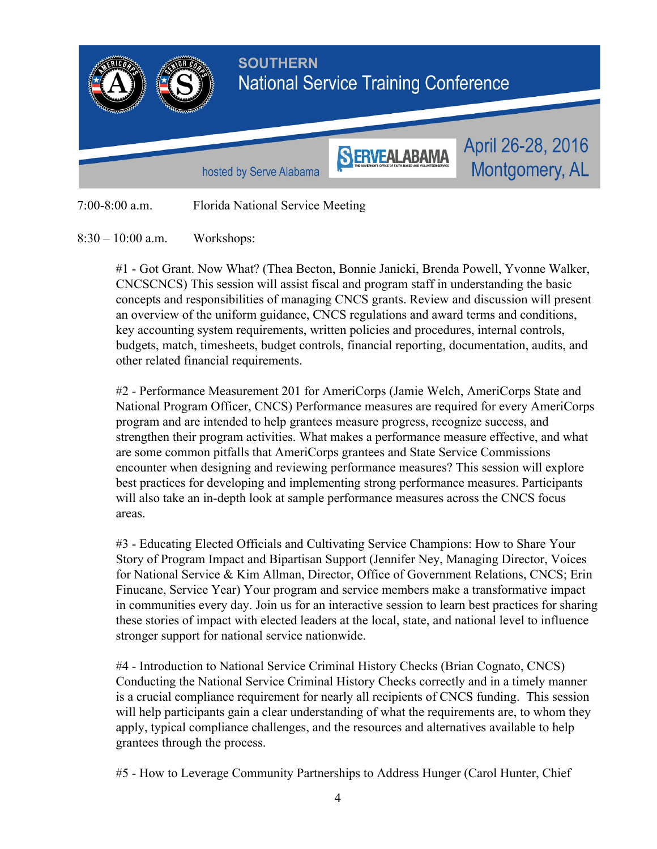

8:30 – 10:00 a.m. Workshops:

#1 Got Grant. Now What? (Thea Becton, Bonnie Janicki, Brenda Powell, Yvonne Walker, CNCSCNCS) This session will assist fiscal and program staff in understanding the basic concepts and responsibilities of managing CNCS grants. Review and discussion will present an overview of the uniform guidance, CNCS regulations and award terms and conditions, key accounting system requirements, written policies and procedures, internal controls, budgets, match, timesheets, budget controls, financial reporting, documentation, audits, and other related financial requirements.

#2 Performance Measurement 201 for AmeriCorps (Jamie Welch, AmeriCorps State and National Program Officer, CNCS) Performance measures are required for every AmeriCorps program and are intended to help grantees measure progress, recognize success, and strengthen their program activities. What makes a performance measure effective, and what are some common pitfalls that AmeriCorps grantees and State Service Commissions encounter when designing and reviewing performance measures? This session will explore best practices for developing and implementing strong performance measures. Participants will also take an in-depth look at sample performance measures across the CNCS focus areas.

#3 Educating Elected Officials and Cultivating Service Champions: How to Share Your Story of Program Impact and Bipartisan Support (Jennifer Ney, Managing Director, Voices for National Service & Kim Allman, Director, Office of Government Relations, CNCS; Erin Finucane, Service Year) Your program and service members make a transformative impact in communities every day. Join us for an interactive session to learn best practices for sharing these stories of impact with elected leaders at the local, state, and national level to influence stronger support for national service nationwide.

#4 - Introduction to National Service Criminal History Checks (Brian Cognato, CNCS) Conducting the National Service Criminal History Checks correctly and in a timely manner is a crucial compliance requirement for nearly all recipients of CNCS funding. This session will help participants gain a clear understanding of what the requirements are, to whom they apply, typical compliance challenges, and the resources and alternatives available to help grantees through the process.

#5 How to Leverage Community Partnerships to Address Hunger (Carol Hunter, Chief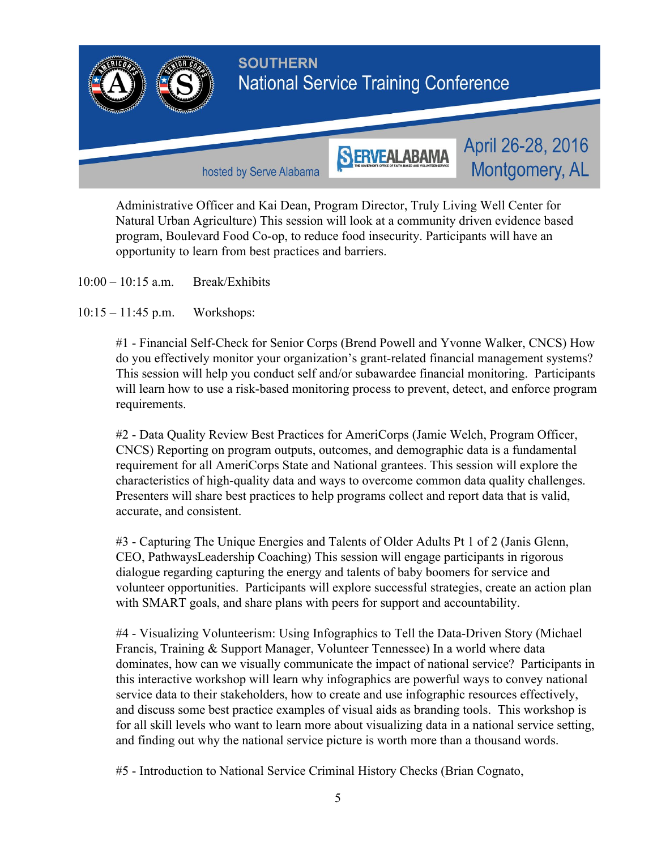

Administrative Officer and Kai Dean, Program Director, Truly Living Well Center for Natural Urban Agriculture) This session will look at a community driven evidence based program, Boulevard Food Co-op, to reduce food insecurity. Participants will have an opportunity to learn from best practices and barriers.

- 10:00 10:15 a.m. Break/Exhibits
- 10:15 11:45 p.m. Workshops:

#1 - Financial Self-Check for Senior Corps (Brend Powell and Yvonne Walker, CNCS) How do you effectively monitor your organization's grant-related financial management systems? This session will help you conduct self and/or subawardee financial monitoring. Participants will learn how to use a risk-based monitoring process to prevent, detect, and enforce program requirements.

#2 Data Quality Review Best Practices for AmeriCorps (Jamie Welch, Program Officer, CNCS) Reporting on program outputs, outcomes, and demographic data is a fundamental requirement for all AmeriCorps State and National grantees. This session will explore the characteristics of high-quality data and ways to overcome common data quality challenges. Presenters will share best practices to help programs collect and report data that is valid, accurate, and consistent.

#3 Capturing The Unique Energies and Talents of Older Adults Pt 1 of 2 (Janis Glenn, CEO, PathwaysLeadership Coaching) This session will engage participants in rigorous dialogue regarding capturing the energy and talents of baby boomers for service and volunteer opportunities. Participants will explore successful strategies, create an action plan with SMART goals, and share plans with peers for support and accountability.

#4 - Visualizing Volunteerism: Using Infographics to Tell the Data-Driven Story (Michael) Francis, Training & Support Manager, Volunteer Tennessee) In a world where data dominates, how can we visually communicate the impact of national service? Participants in this interactive workshop will learn why infographics are powerful ways to convey national service data to their stakeholders, how to create and use infographic resources effectively, and discuss some best practice examples of visual aids as branding tools. This workshop is for all skill levels who want to learn more about visualizing data in a national service setting, and finding out why the national service picture is worth more than a thousand words.

#5 Introduction to National Service Criminal History Checks (Brian Cognato,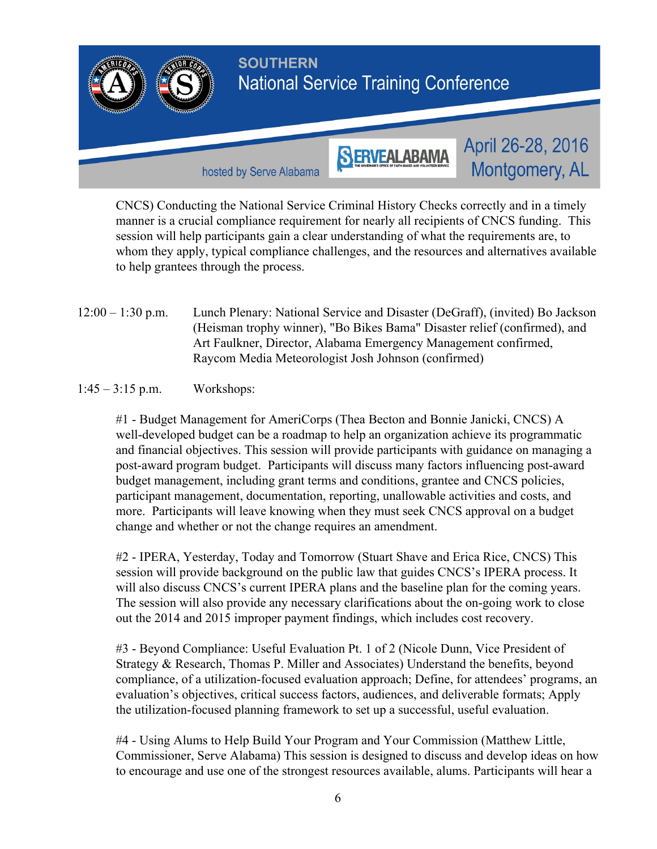

CNCS) Conducting the National Service Criminal History Checks correctly and in a timely manner is a crucial compliance requirement for nearly all recipients of CNCS funding. This session will help participants gain a clear understanding of what the requirements are, to whom they apply, typical compliance challenges, and the resources and alternatives available to help grantees through the process.

12:00 – 1:30 p.m. Lunch Plenary: National Service and Disaster (DeGraff), (invited) Bo Jackson (Heisman trophy winner), "Bo Bikes Bama" Disaster relief (confirmed), and Art Faulkner, Director, Alabama Emergency Management confirmed, Raycom Media Meteorologist Josh Johnson (confirmed)

## 1:45 – 3:15 p.m. Workshops:

#1 Budget Management for AmeriCorps (Thea Becton and Bonnie Janicki, CNCS) A well-developed budget can be a roadmap to help an organization achieve its programmatic and financial objectives. This session will provide participants with guidance on managing a post-award program budget. Participants will discuss many factors influencing post-award budget management, including grant terms and conditions, grantee and CNCS policies, participant management, documentation, reporting, unallowable activities and costs, and more. Participants will leave knowing when they must seek CNCS approval on a budget change and whether or not the change requires an amendment.

#2 IPERA, Yesterday, Today and Tomorrow (Stuart Shave and Erica Rice, CNCS) This session will provide background on the public law that guides CNCS's IPERA process. It will also discuss CNCS's current IPERA plans and the baseline plan for the coming years. The session will also provide any necessary clarifications about the on-going work to close out the 2014 and 2015 improper payment findings, which includes cost recovery.

#3 - Beyond Compliance: Useful Evaluation Pt. 1 of 2 (Nicole Dunn, Vice President of Strategy & Research, Thomas P. Miller and Associates) Understand the benefits, beyond compliance, of a utilization-focused evaluation approach; Define, for attendees' programs, an evaluation's objectives, critical success factors, audiences, and deliverable formats; Apply the utilization-focused planning framework to set up a successful, useful evaluation.

#4 Using Alums to Help Build Your Program and Your Commission (Matthew Little, Commissioner, Serve Alabama) This session is designed to discuss and develop ideas on how to encourage and use one of the strongest resources available, alums. Participants will hear a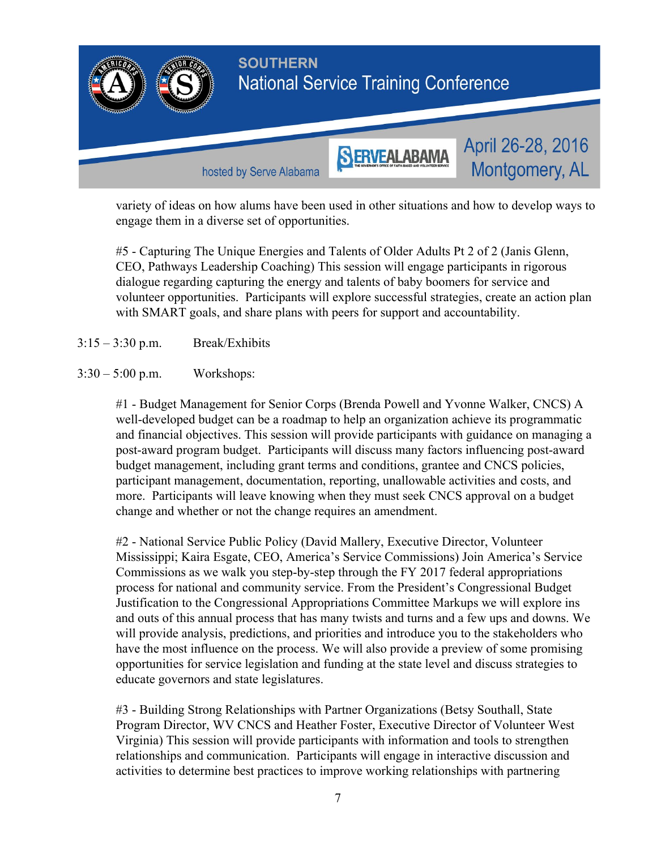

variety of ideas on how alums have been used in other situations and how to develop ways to engage them in a diverse set of opportunities.

#5 Capturing The Unique Energies and Talents of Older Adults Pt 2 of 2 (Janis Glenn, CEO, Pathways Leadership Coaching) This session will engage participants in rigorous dialogue regarding capturing the energy and talents of baby boomers for service and volunteer opportunities. Participants will explore successful strategies, create an action plan with SMART goals, and share plans with peers for support and accountability.

- 3:15 3:30 p.m. Break/Exhibits
- 3:30 5:00 p.m. Workshops:

#1 - Budget Management for Senior Corps (Brenda Powell and Yvonne Walker, CNCS) A well-developed budget can be a roadmap to help an organization achieve its programmatic and financial objectives. This session will provide participants with guidance on managing a post-award program budget. Participants will discuss many factors influencing post-award budget management, including grant terms and conditions, grantee and CNCS policies, participant management, documentation, reporting, unallowable activities and costs, and more. Participants will leave knowing when they must seek CNCS approval on a budget change and whether or not the change requires an amendment.

#2 National Service Public Policy (David Mallery, Executive Director, Volunteer Mississippi; Kaira Esgate, CEO, America's Service Commissions) Join America's Service Commissions as we walk you step-by-step through the FY 2017 federal appropriations process for national and community service. From the President's Congressional Budget Justification to the Congressional Appropriations Committee Markups we will explore ins and outs of this annual process that has many twists and turns and a few ups and downs. We will provide analysis, predictions, and priorities and introduce you to the stakeholders who have the most influence on the process. We will also provide a preview of some promising opportunities for service legislation and funding at the state level and discuss strategies to educate governors and state legislatures.

#3 Building Strong Relationships with Partner Organizations (Betsy Southall, State Program Director, WV CNCS and Heather Foster, Executive Director of Volunteer West Virginia) This session will provide participants with information and tools to strengthen relationships and communication. Participants will engage in interactive discussion and activities to determine best practices to improve working relationships with partnering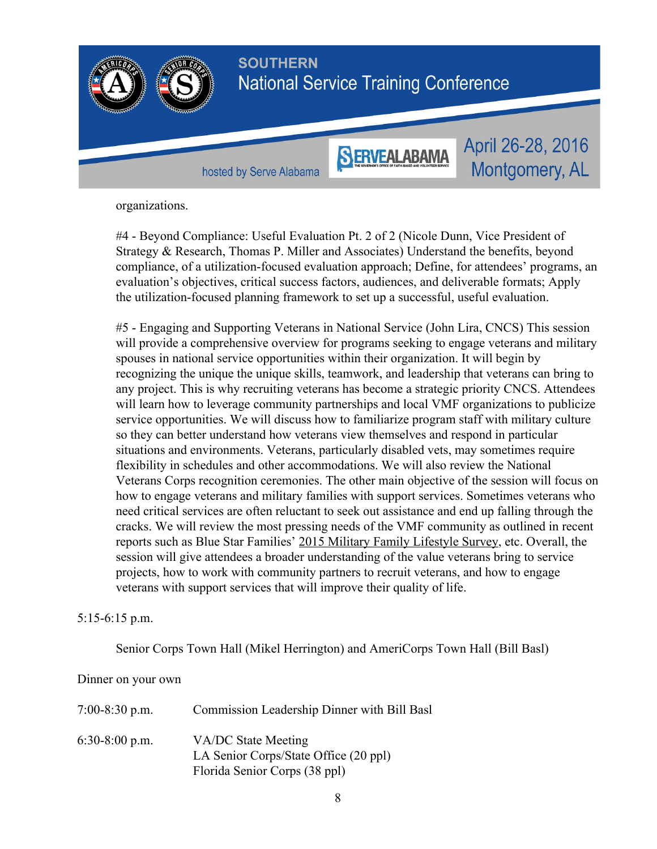

organizations.

#4 - Beyond Compliance: Useful Evaluation Pt. 2 of 2 (Nicole Dunn, Vice President of Strategy & Research, Thomas P. Miller and Associates) Understand the benefits, beyond compliance, of a utilization-focused evaluation approach; Define, for attendees' programs, an evaluation's objectives, critical success factors, audiences, and deliverable formats; Apply the utilization-focused planning framework to set up a successful, useful evaluation.

#5 Engaging and Supporting Veterans in National Service (John Lira, CNCS) This session will provide a comprehensive overview for programs seeking to engage veterans and military spouses in national service opportunities within their organization. It will begin by recognizing the unique the unique skills, teamwork, and leadership that veterans can bring to any project. This is why recruiting veterans has become a strategic priority CNCS. Attendees will learn how to leverage community partnerships and local VMF organizations to publicize service opportunities. We will discuss how to familiarize program staff with military culture so they can better understand how veterans view themselves and respond in particular situations and environments. Veterans, particularly disabled vets, may sometimes require flexibility in schedules and other accommodations. We will also review the National Veterans Corps recognition ceremonies. The other main objective of the session will focus on how to engage veterans and military families with support services. Sometimes veterans who need critical services are often reluctant to seek out assistance and end up falling through the cracks. We will review the most pressing needs of the VMF community as outlined in recent reports such as Blue Star Families' 2015 Military Family [Lifestyle](https://bluestarfam.org/sites/default/files/docs/bsf_infographic_final.pdf) Survey, etc. Overall, the session will give attendees a broader understanding of the value veterans bring to service projects, how to work with community partners to recruit veterans, and how to engage veterans with support services that will improve their quality of life.

## 5:156:15 p.m.

Senior Corps Town Hall (Mikel Herrington) and AmeriCorps Town Hall (Bill Basl)

#### Dinner on your own

| $7:00-8:30$ p.m. | Commission Leadership Dinner with Bill Basl                                                   |
|------------------|-----------------------------------------------------------------------------------------------|
| $6:30-8:00$ p.m. | VA/DC State Meeting<br>LA Senior Corps/State Office (20 ppl)<br>Florida Senior Corps (38 ppl) |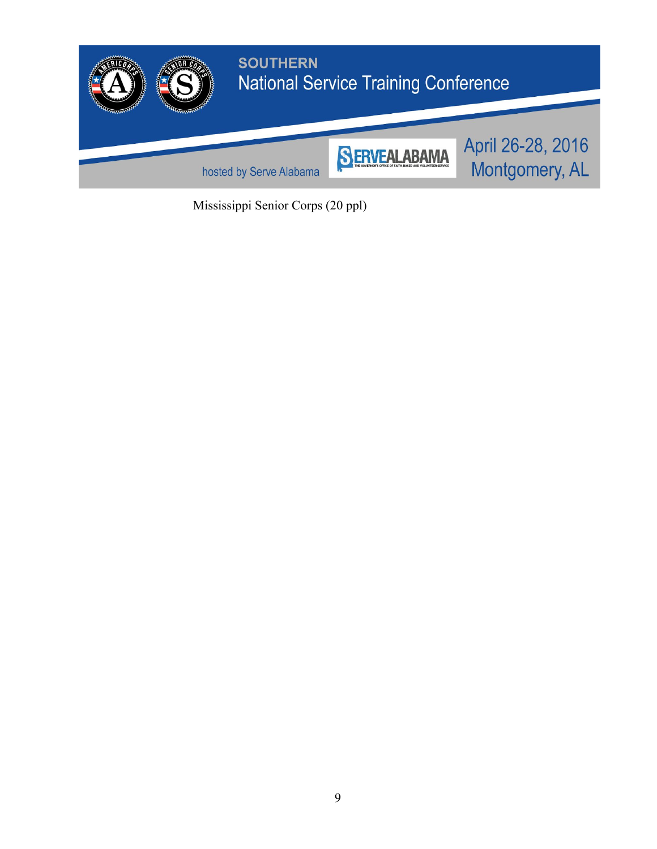

Mississippi Senior Corps (20 ppl)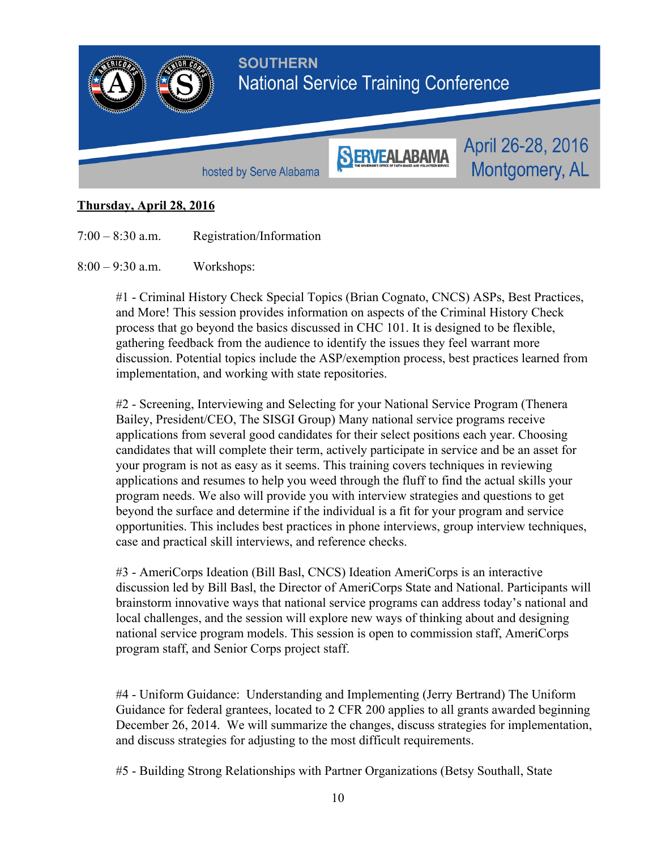

# **Thursday, April 28, 2016**

7:00 – 8:30 a.m. Registration/Information

8:00 – 9:30 a.m. Workshops:

#1 Criminal History Check Special Topics (Brian Cognato, CNCS) ASPs, Best Practices, and More! This session provides information on aspects of the Criminal History Check process that go beyond the basics discussed in CHC 101. It is designed to be flexible, gathering feedback from the audience to identify the issues they feel warrant more discussion. Potential topics include the ASP/exemption process, best practices learned from implementation, and working with state repositories.

#2 Screening, Interviewing and Selecting for your National Service Program (Thenera Bailey, President/CEO, The SISGI Group) Many national service programs receive applications from several good candidates for their select positions each year. Choosing candidates that will complete their term, actively participate in service and be an asset for your program is not as easy as it seems. This training covers techniques in reviewing applications and resumes to help you weed through the fluff to find the actual skills your program needs. We also will provide you with interview strategies and questions to get beyond the surface and determine if the individual is a fit for your program and service opportunities. This includes best practices in phone interviews, group interview techniques, case and practical skill interviews, and reference checks.

#3 AmeriCorps Ideation (Bill Basl, CNCS) Ideation AmeriCorps is an interactive discussion led by Bill Basl, the Director of AmeriCorps State and National. Participants will brainstorm innovative ways that national service programs can address today's national and local challenges, and the session will explore new ways of thinking about and designing national service program models. This session is open to commission staff, AmeriCorps program staff, and Senior Corps project staff.

#4 Uniform Guidance: Understanding and Implementing (Jerry Bertrand) The Uniform Guidance for federal grantees, located to 2 CFR 200 applies to all grants awarded beginning December 26, 2014. We will summarize the changes, discuss strategies for implementation, and discuss strategies for adjusting to the most difficult requirements.

#5 Building Strong Relationships with Partner Organizations (Betsy Southall, State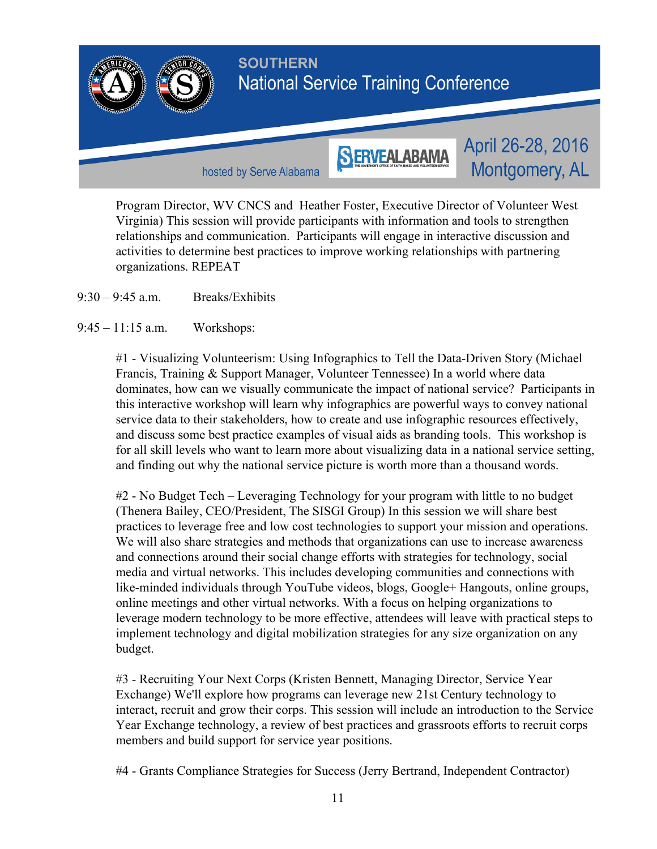

Program Director, WV CNCS and Heather Foster, Executive Director of Volunteer West Virginia) This session will provide participants with information and tools to strengthen relationships and communication. Participants will engage in interactive discussion and activities to determine best practices to improve working relationships with partnering organizations. REPEAT

 $9.30 - 9.45$  a.m. Breaks/Exhibits

9:45 – 11:15 a.m. Workshops:

#1 - Visualizing Volunteerism: Using Infographics to Tell the Data-Driven Story (Michael Francis, Training & Support Manager, Volunteer Tennessee) In a world where data dominates, how can we visually communicate the impact of national service? Participants in this interactive workshop will learn why infographics are powerful ways to convey national service data to their stakeholders, how to create and use infographic resources effectively, and discuss some best practice examples of visual aids as branding tools. This workshop is for all skill levels who want to learn more about visualizing data in a national service setting, and finding out why the national service picture is worth more than a thousand words.

#2 No Budget Tech – Leveraging Technology for your program with little to no budget (Thenera Bailey, CEO/President, The SISGI Group) In this session we will share best practices to leverage free and low cost technologies to support your mission and operations. We will also share strategies and methods that organizations can use to increase awareness and connections around their social change efforts with strategies for technology, social media and virtual networks. This includes developing communities and connections with like-minded individuals through YouTube videos, blogs, Google+ Hangouts, online groups, online meetings and other virtual networks. With a focus on helping organizations to leverage modern technology to be more effective, attendees will leave with practical steps to implement technology and digital mobilization strategies for any size organization on any budget.

#3 Recruiting Your Next Corps (Kristen Bennett, Managing Director, Service Year Exchange) We'll explore how programs can leverage new 21st Century technology to interact, recruit and grow their corps. This session will include an introduction to the Service Year Exchange technology, a review of best practices and grassroots efforts to recruit corps members and build support for service year positions.

#4 Grants Compliance Strategies for Success (Jerry Bertrand, Independent Contractor)